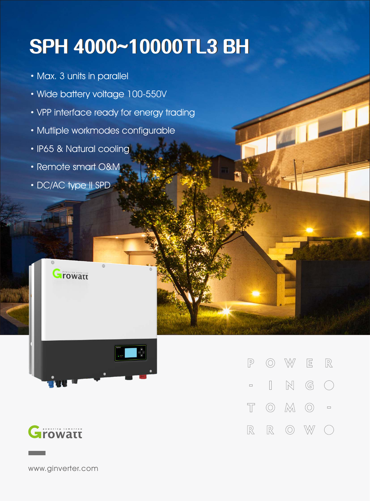## **SPH4000~10000TL3BH**

- ·Max. 3 units in parallel
- ·Wide battery voltage 100-550V
- ·VPP interface ready for energy trading
- ·Mutliple workmodes configurable
- ·IP65 & Natural cooling
- Remote smart O&M
- ·DC/AC type II SPD

Growatt





W  $\Xi$  $\mathbb{R}$  $\sqrt{P}$  $\circledcirc$  $\mathbb{N}$  $\mathbb{G}$  $\begin{bmatrix} \phantom{-} \end{bmatrix}$  $\left(\begin{array}{c}\right)$  $\Box$  $\circledcirc$   $\mathbb{M}$   $\circlearrowright$  $\top$  $\Box$  $\mathbb R$  $\circledcirc$  $\mathbb{R}$ W

www.ginverter.com